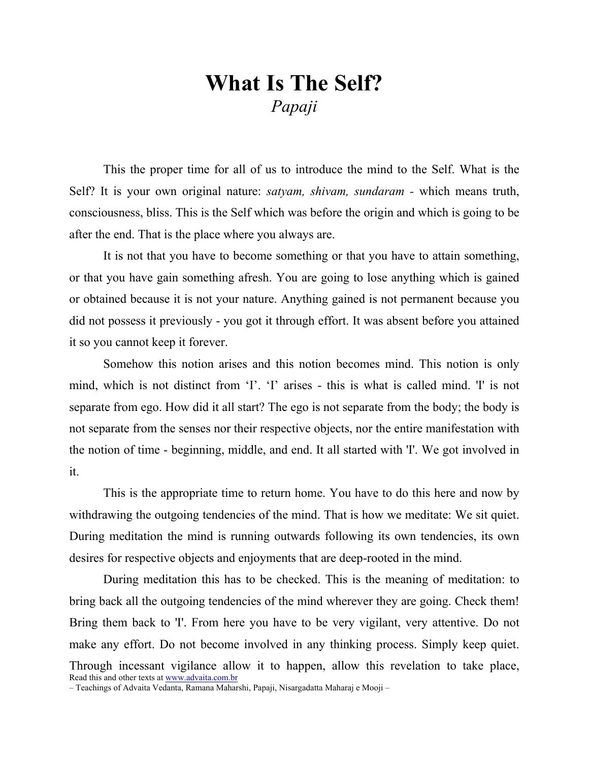## What Is The Self? Papaji

This the proper time for all of us to introduce the mind to the Self. What is the Self? It is your own original nature: *satyam, shivam, sundaram* - which means truth, consciousness, bliss. This is the Self which was before the origin and which is going to be after the end. That is the place where you always are.

It is not that you have to become something or that you have to attain something, or that you have gain something afresh. You are going to lose anything which is gained or obtained because it is not your nature. Anything gained is not permanent because you did not possess it previously - you got it through effort. It was absent before you attained it so you cannot keep it forever.

Somehow this notion arises and this notion becomes mind. This notion is only mind, which is not distinct from 'I'. 'I' arises - this is what is called mind. 'I' is not separate from ego. How did it all start? The ego is not separate from the body; the body is not separate from the senses nor their respective objects, nor the entire manifestation with the notion of time - beginning, middle, and end. It all started with 'I'. We got involved in it.

This is the appropriate time to return home. You have to do this here and now by withdrawing the outgoing tendencies of the mind. That is how we meditate: We sit quiet. During meditation the mind is running outwards following its own tendencies, its own desires for respective objects and enjoyments that are deep-rooted in the mind.

Read this and other texts at www.advaita.com.br During meditation this has to be checked. This is the meaning of meditation: to bring back all the outgoing tendencies of the mind wherever they are going. Check them! Bring them back to 'I'. From here you have to be very vigilant, very attentive. Do not make any effort. Do not become involved in any thinking process. Simply keep quiet. Through incessant vigilance allow it to happen, allow this revelation to take place,

<sup>–</sup> Teachings of Advaita Vedanta, Ramana Maharshi, Papaji, Nisargadatta Maharaj e Mooji –